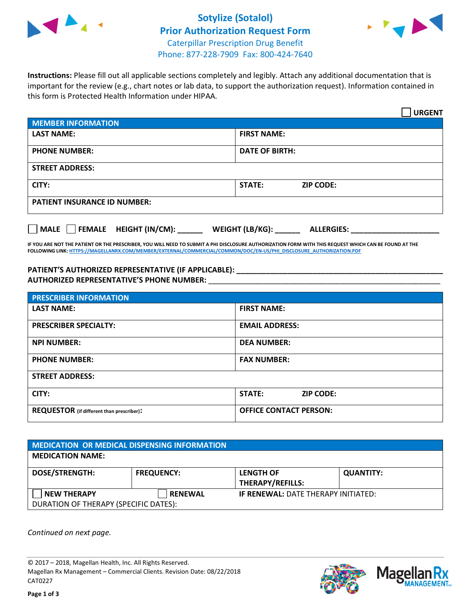

## **Sotylize (Sotalol) Prior Authorization Request Form** Caterpillar Prescription Drug Benefit Phone: 877-228-7909 Fax: 800-424-7640



**Instructions:** Please fill out all applicable sections completely and legibly. Attach any additional documentation that is important for the review (e.g., chart notes or lab data, to support the authorization request). Information contained in this form is Protected Health Information under HIPAA.

|                                                 | <b>URGENT</b>                        |  |
|-------------------------------------------------|--------------------------------------|--|
| <b>MEMBER INFORMATION</b>                       |                                      |  |
| <b>LAST NAME:</b>                               | <b>FIRST NAME:</b>                   |  |
| <b>PHONE NUMBER:</b>                            | <b>DATE OF BIRTH:</b>                |  |
| <b>STREET ADDRESS:</b>                          |                                      |  |
| CITY:                                           | <b>STATE:</b><br><b>ZIP CODE:</b>    |  |
| <b>PATIENT INSURANCE ID NUMBER:</b>             |                                      |  |
| HEIGHT (IN/CM):<br><b>FEMALE</b><br><b>MALE</b> | WEIGHT (LB/KG):<br><b>ALLERGIES:</b> |  |

**IF YOU ARE NOT THE PATIENT OR THE PRESCRIBER, YOU WILL NEED TO SUBMIT A PHI DISCLOSURE AUTHORIZATION FORM WITH THIS REQUEST WHICH CAN BE FOUND AT THE FOLLOWING LINK[: HTTPS://MAGELLANRX.COM/MEMBER/EXTERNAL/COMMERCIAL/COMMON/DOC/EN-US/PHI\\_DISCLOSURE\\_AUTHORIZATION.PDF](https://magellanrx.com/member/external/commercial/common/doc/en-us/PHI_Disclosure_Authorization.pdf)**

**PATIENT'S AUTHORIZED REPRESENTATIVE (IF APPLICABLE): \_\_\_\_\_\_\_\_\_\_\_\_\_\_\_\_\_\_\_\_\_\_\_\_\_\_\_\_\_\_\_\_\_\_\_\_\_\_\_\_\_\_\_\_\_\_\_\_\_ AUTHORIZED REPRESENTATIVE'S PHONE NUMBER:** \_\_\_\_\_\_\_\_\_\_\_\_\_\_\_\_\_\_\_\_\_\_\_\_\_\_\_\_\_\_\_\_\_\_\_\_\_\_\_\_\_\_\_\_\_\_\_\_\_\_\_\_\_\_\_

| <b>PRESCRIBER INFORMATION</b>             |                               |  |
|-------------------------------------------|-------------------------------|--|
| <b>LAST NAME:</b>                         | <b>FIRST NAME:</b>            |  |
| <b>PRESCRIBER SPECIALTY:</b>              | <b>EMAIL ADDRESS:</b>         |  |
| <b>NPI NUMBER:</b>                        | <b>DEA NUMBER:</b>            |  |
| <b>PHONE NUMBER:</b>                      | <b>FAX NUMBER:</b>            |  |
| <b>STREET ADDRESS:</b>                    |                               |  |
| CITY:                                     | STATE:<br><b>ZIP CODE:</b>    |  |
| REQUESTOR (if different than prescriber): | <b>OFFICE CONTACT PERSON:</b> |  |

| <b>MEDICATION OR MEDICAL DISPENSING INFORMATION</b> |                   |                                            |                  |  |  |
|-----------------------------------------------------|-------------------|--------------------------------------------|------------------|--|--|
| <b>MEDICATION NAME:</b>                             |                   |                                            |                  |  |  |
| <b>DOSE/STRENGTH:</b>                               | <b>FREQUENCY:</b> | <b>LENGTH OF</b>                           | <b>QUANTITY:</b> |  |  |
|                                                     |                   | <b>THERAPY/REFILLS:</b>                    |                  |  |  |
| <b>NEW THERAPY</b>                                  | <b>RENEWAL</b>    | <b>IF RENEWAL: DATE THERAPY INITIATED:</b> |                  |  |  |
| DURATION OF THERAPY (SPECIFIC DATES):               |                   |                                            |                  |  |  |

*Continued on next page.*

© 2017 – 2018, Magellan Health, Inc. All Rights Reserved. Magellan Rx Management – Commercial Clients. Revision Date: 08/22/2018 CAT0227



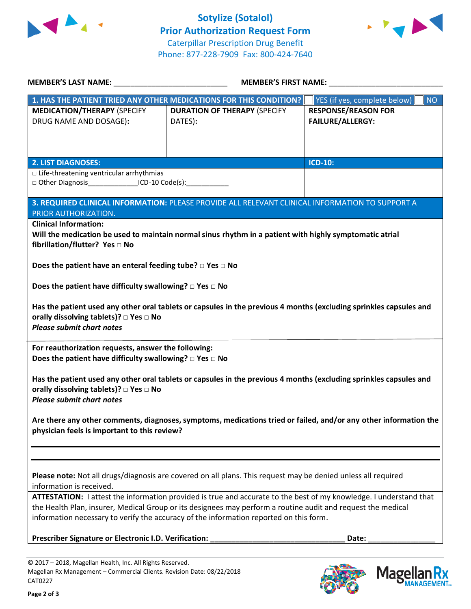



| 1. HAS THE PATIENT TRIED ANY OTHER MEDICATIONS FOR THIS CONDITION?<br>YES (if yes, complete below)<br>NO<br><b>RESPONSE/REASON FOR</b><br><b>MEDICATION/THERAPY (SPECIFY</b><br><b>DURATION OF THERAPY (SPECIFY</b><br><b>FAILURE/ALLERGY:</b><br>DRUG NAME AND DOSAGE):<br>DATES):<br><b>2. LIST DIAGNOSES:</b><br>ICD-10:<br>$\Box$ Life-threatening ventricular arrhythmias<br>□ Other Diagnosis________________ICD-10 Code(s):_____<br>3. REQUIRED CLINICAL INFORMATION: PLEASE PROVIDE ALL RELEVANT CLINICAL INFORMATION TO SUPPORT A<br>PRIOR AUTHORIZATION.<br><b>Clinical Information:</b><br>Will the medication be used to maintain normal sinus rhythm in a patient with highly symptomatic atrial<br>fibrillation/flutter? Yes □ No<br>Does the patient have an enteral feeding tube? $\square$ Yes $\square$ No<br>Does the patient have difficulty swallowing? $\square$ Yes $\square$ No<br>Has the patient used any other oral tablets or capsules in the previous 4 months (excluding sprinkles capsules and<br>orally dissolving tablets)? □ Yes □ No<br><b>Please submit chart notes</b><br>For reauthorization requests, answer the following:<br>Does the patient have difficulty swallowing? $\square$ Yes $\square$ No<br>Has the patient used any other oral tablets or capsules in the previous 4 months (excluding sprinkles capsules and<br>orally dissolving tablets)? □ Yes □ No<br><b>Please submit chart notes</b><br>physician feels is important to this review?<br>Please note: Not all drugs/diagnosis are covered on all plans. This request may be denied unless all required<br>information is received.<br>ATTESTATION: I attest the information provided is true and accurate to the best of my knowledge. I understand that<br>the Health Plan, insurer, Medical Group or its designees may perform a routine audit and request the medical<br>information necessary to verify the accuracy of the information reported on this form.<br>Prescriber Signature or Electronic I.D. Verification:<br>Date: | MEMBER'S LAST NAME: NAME:                                                                                        | MEMBER'S FIRST NAME: |  |  |  |
|--------------------------------------------------------------------------------------------------------------------------------------------------------------------------------------------------------------------------------------------------------------------------------------------------------------------------------------------------------------------------------------------------------------------------------------------------------------------------------------------------------------------------------------------------------------------------------------------------------------------------------------------------------------------------------------------------------------------------------------------------------------------------------------------------------------------------------------------------------------------------------------------------------------------------------------------------------------------------------------------------------------------------------------------------------------------------------------------------------------------------------------------------------------------------------------------------------------------------------------------------------------------------------------------------------------------------------------------------------------------------------------------------------------------------------------------------------------------------------------------------------------------------------------------------------------------------------------------------------------------------------------------------------------------------------------------------------------------------------------------------------------------------------------------------------------------------------------------------------------------------------------------------------------------------------------------------------------------------------------------------------------------------------------------------|------------------------------------------------------------------------------------------------------------------|----------------------|--|--|--|
|                                                                                                                                                                                                                                                                                                                                                                                                                                                                                                                                                                                                                                                                                                                                                                                                                                                                                                                                                                                                                                                                                                                                                                                                                                                                                                                                                                                                                                                                                                                                                                                                                                                                                                                                                                                                                                                                                                                                                                                                                                                  |                                                                                                                  |                      |  |  |  |
|                                                                                                                                                                                                                                                                                                                                                                                                                                                                                                                                                                                                                                                                                                                                                                                                                                                                                                                                                                                                                                                                                                                                                                                                                                                                                                                                                                                                                                                                                                                                                                                                                                                                                                                                                                                                                                                                                                                                                                                                                                                  |                                                                                                                  |                      |  |  |  |
|                                                                                                                                                                                                                                                                                                                                                                                                                                                                                                                                                                                                                                                                                                                                                                                                                                                                                                                                                                                                                                                                                                                                                                                                                                                                                                                                                                                                                                                                                                                                                                                                                                                                                                                                                                                                                                                                                                                                                                                                                                                  |                                                                                                                  |                      |  |  |  |
|                                                                                                                                                                                                                                                                                                                                                                                                                                                                                                                                                                                                                                                                                                                                                                                                                                                                                                                                                                                                                                                                                                                                                                                                                                                                                                                                                                                                                                                                                                                                                                                                                                                                                                                                                                                                                                                                                                                                                                                                                                                  |                                                                                                                  |                      |  |  |  |
|                                                                                                                                                                                                                                                                                                                                                                                                                                                                                                                                                                                                                                                                                                                                                                                                                                                                                                                                                                                                                                                                                                                                                                                                                                                                                                                                                                                                                                                                                                                                                                                                                                                                                                                                                                                                                                                                                                                                                                                                                                                  |                                                                                                                  |                      |  |  |  |
|                                                                                                                                                                                                                                                                                                                                                                                                                                                                                                                                                                                                                                                                                                                                                                                                                                                                                                                                                                                                                                                                                                                                                                                                                                                                                                                                                                                                                                                                                                                                                                                                                                                                                                                                                                                                                                                                                                                                                                                                                                                  |                                                                                                                  |                      |  |  |  |
|                                                                                                                                                                                                                                                                                                                                                                                                                                                                                                                                                                                                                                                                                                                                                                                                                                                                                                                                                                                                                                                                                                                                                                                                                                                                                                                                                                                                                                                                                                                                                                                                                                                                                                                                                                                                                                                                                                                                                                                                                                                  |                                                                                                                  |                      |  |  |  |
|                                                                                                                                                                                                                                                                                                                                                                                                                                                                                                                                                                                                                                                                                                                                                                                                                                                                                                                                                                                                                                                                                                                                                                                                                                                                                                                                                                                                                                                                                                                                                                                                                                                                                                                                                                                                                                                                                                                                                                                                                                                  |                                                                                                                  |                      |  |  |  |
|                                                                                                                                                                                                                                                                                                                                                                                                                                                                                                                                                                                                                                                                                                                                                                                                                                                                                                                                                                                                                                                                                                                                                                                                                                                                                                                                                                                                                                                                                                                                                                                                                                                                                                                                                                                                                                                                                                                                                                                                                                                  |                                                                                                                  |                      |  |  |  |
|                                                                                                                                                                                                                                                                                                                                                                                                                                                                                                                                                                                                                                                                                                                                                                                                                                                                                                                                                                                                                                                                                                                                                                                                                                                                                                                                                                                                                                                                                                                                                                                                                                                                                                                                                                                                                                                                                                                                                                                                                                                  |                                                                                                                  |                      |  |  |  |
|                                                                                                                                                                                                                                                                                                                                                                                                                                                                                                                                                                                                                                                                                                                                                                                                                                                                                                                                                                                                                                                                                                                                                                                                                                                                                                                                                                                                                                                                                                                                                                                                                                                                                                                                                                                                                                                                                                                                                                                                                                                  |                                                                                                                  |                      |  |  |  |
|                                                                                                                                                                                                                                                                                                                                                                                                                                                                                                                                                                                                                                                                                                                                                                                                                                                                                                                                                                                                                                                                                                                                                                                                                                                                                                                                                                                                                                                                                                                                                                                                                                                                                                                                                                                                                                                                                                                                                                                                                                                  |                                                                                                                  |                      |  |  |  |
|                                                                                                                                                                                                                                                                                                                                                                                                                                                                                                                                                                                                                                                                                                                                                                                                                                                                                                                                                                                                                                                                                                                                                                                                                                                                                                                                                                                                                                                                                                                                                                                                                                                                                                                                                                                                                                                                                                                                                                                                                                                  |                                                                                                                  |                      |  |  |  |
|                                                                                                                                                                                                                                                                                                                                                                                                                                                                                                                                                                                                                                                                                                                                                                                                                                                                                                                                                                                                                                                                                                                                                                                                                                                                                                                                                                                                                                                                                                                                                                                                                                                                                                                                                                                                                                                                                                                                                                                                                                                  |                                                                                                                  |                      |  |  |  |
|                                                                                                                                                                                                                                                                                                                                                                                                                                                                                                                                                                                                                                                                                                                                                                                                                                                                                                                                                                                                                                                                                                                                                                                                                                                                                                                                                                                                                                                                                                                                                                                                                                                                                                                                                                                                                                                                                                                                                                                                                                                  |                                                                                                                  |                      |  |  |  |
|                                                                                                                                                                                                                                                                                                                                                                                                                                                                                                                                                                                                                                                                                                                                                                                                                                                                                                                                                                                                                                                                                                                                                                                                                                                                                                                                                                                                                                                                                                                                                                                                                                                                                                                                                                                                                                                                                                                                                                                                                                                  |                                                                                                                  |                      |  |  |  |
|                                                                                                                                                                                                                                                                                                                                                                                                                                                                                                                                                                                                                                                                                                                                                                                                                                                                                                                                                                                                                                                                                                                                                                                                                                                                                                                                                                                                                                                                                                                                                                                                                                                                                                                                                                                                                                                                                                                                                                                                                                                  |                                                                                                                  |                      |  |  |  |
|                                                                                                                                                                                                                                                                                                                                                                                                                                                                                                                                                                                                                                                                                                                                                                                                                                                                                                                                                                                                                                                                                                                                                                                                                                                                                                                                                                                                                                                                                                                                                                                                                                                                                                                                                                                                                                                                                                                                                                                                                                                  |                                                                                                                  |                      |  |  |  |
|                                                                                                                                                                                                                                                                                                                                                                                                                                                                                                                                                                                                                                                                                                                                                                                                                                                                                                                                                                                                                                                                                                                                                                                                                                                                                                                                                                                                                                                                                                                                                                                                                                                                                                                                                                                                                                                                                                                                                                                                                                                  |                                                                                                                  |                      |  |  |  |
|                                                                                                                                                                                                                                                                                                                                                                                                                                                                                                                                                                                                                                                                                                                                                                                                                                                                                                                                                                                                                                                                                                                                                                                                                                                                                                                                                                                                                                                                                                                                                                                                                                                                                                                                                                                                                                                                                                                                                                                                                                                  |                                                                                                                  |                      |  |  |  |
|                                                                                                                                                                                                                                                                                                                                                                                                                                                                                                                                                                                                                                                                                                                                                                                                                                                                                                                                                                                                                                                                                                                                                                                                                                                                                                                                                                                                                                                                                                                                                                                                                                                                                                                                                                                                                                                                                                                                                                                                                                                  |                                                                                                                  |                      |  |  |  |
|                                                                                                                                                                                                                                                                                                                                                                                                                                                                                                                                                                                                                                                                                                                                                                                                                                                                                                                                                                                                                                                                                                                                                                                                                                                                                                                                                                                                                                                                                                                                                                                                                                                                                                                                                                                                                                                                                                                                                                                                                                                  |                                                                                                                  |                      |  |  |  |
|                                                                                                                                                                                                                                                                                                                                                                                                                                                                                                                                                                                                                                                                                                                                                                                                                                                                                                                                                                                                                                                                                                                                                                                                                                                                                                                                                                                                                                                                                                                                                                                                                                                                                                                                                                                                                                                                                                                                                                                                                                                  |                                                                                                                  |                      |  |  |  |
|                                                                                                                                                                                                                                                                                                                                                                                                                                                                                                                                                                                                                                                                                                                                                                                                                                                                                                                                                                                                                                                                                                                                                                                                                                                                                                                                                                                                                                                                                                                                                                                                                                                                                                                                                                                                                                                                                                                                                                                                                                                  |                                                                                                                  |                      |  |  |  |
|                                                                                                                                                                                                                                                                                                                                                                                                                                                                                                                                                                                                                                                                                                                                                                                                                                                                                                                                                                                                                                                                                                                                                                                                                                                                                                                                                                                                                                                                                                                                                                                                                                                                                                                                                                                                                                                                                                                                                                                                                                                  |                                                                                                                  |                      |  |  |  |
|                                                                                                                                                                                                                                                                                                                                                                                                                                                                                                                                                                                                                                                                                                                                                                                                                                                                                                                                                                                                                                                                                                                                                                                                                                                                                                                                                                                                                                                                                                                                                                                                                                                                                                                                                                                                                                                                                                                                                                                                                                                  |                                                                                                                  |                      |  |  |  |
|                                                                                                                                                                                                                                                                                                                                                                                                                                                                                                                                                                                                                                                                                                                                                                                                                                                                                                                                                                                                                                                                                                                                                                                                                                                                                                                                                                                                                                                                                                                                                                                                                                                                                                                                                                                                                                                                                                                                                                                                                                                  | Are there any other comments, diagnoses, symptoms, medications tried or failed, and/or any other information the |                      |  |  |  |
|                                                                                                                                                                                                                                                                                                                                                                                                                                                                                                                                                                                                                                                                                                                                                                                                                                                                                                                                                                                                                                                                                                                                                                                                                                                                                                                                                                                                                                                                                                                                                                                                                                                                                                                                                                                                                                                                                                                                                                                                                                                  |                                                                                                                  |                      |  |  |  |
|                                                                                                                                                                                                                                                                                                                                                                                                                                                                                                                                                                                                                                                                                                                                                                                                                                                                                                                                                                                                                                                                                                                                                                                                                                                                                                                                                                                                                                                                                                                                                                                                                                                                                                                                                                                                                                                                                                                                                                                                                                                  |                                                                                                                  |                      |  |  |  |
|                                                                                                                                                                                                                                                                                                                                                                                                                                                                                                                                                                                                                                                                                                                                                                                                                                                                                                                                                                                                                                                                                                                                                                                                                                                                                                                                                                                                                                                                                                                                                                                                                                                                                                                                                                                                                                                                                                                                                                                                                                                  |                                                                                                                  |                      |  |  |  |
|                                                                                                                                                                                                                                                                                                                                                                                                                                                                                                                                                                                                                                                                                                                                                                                                                                                                                                                                                                                                                                                                                                                                                                                                                                                                                                                                                                                                                                                                                                                                                                                                                                                                                                                                                                                                                                                                                                                                                                                                                                                  |                                                                                                                  |                      |  |  |  |
|                                                                                                                                                                                                                                                                                                                                                                                                                                                                                                                                                                                                                                                                                                                                                                                                                                                                                                                                                                                                                                                                                                                                                                                                                                                                                                                                                                                                                                                                                                                                                                                                                                                                                                                                                                                                                                                                                                                                                                                                                                                  |                                                                                                                  |                      |  |  |  |
|                                                                                                                                                                                                                                                                                                                                                                                                                                                                                                                                                                                                                                                                                                                                                                                                                                                                                                                                                                                                                                                                                                                                                                                                                                                                                                                                                                                                                                                                                                                                                                                                                                                                                                                                                                                                                                                                                                                                                                                                                                                  |                                                                                                                  |                      |  |  |  |
|                                                                                                                                                                                                                                                                                                                                                                                                                                                                                                                                                                                                                                                                                                                                                                                                                                                                                                                                                                                                                                                                                                                                                                                                                                                                                                                                                                                                                                                                                                                                                                                                                                                                                                                                                                                                                                                                                                                                                                                                                                                  |                                                                                                                  |                      |  |  |  |
|                                                                                                                                                                                                                                                                                                                                                                                                                                                                                                                                                                                                                                                                                                                                                                                                                                                                                                                                                                                                                                                                                                                                                                                                                                                                                                                                                                                                                                                                                                                                                                                                                                                                                                                                                                                                                                                                                                                                                                                                                                                  |                                                                                                                  |                      |  |  |  |
|                                                                                                                                                                                                                                                                                                                                                                                                                                                                                                                                                                                                                                                                                                                                                                                                                                                                                                                                                                                                                                                                                                                                                                                                                                                                                                                                                                                                                                                                                                                                                                                                                                                                                                                                                                                                                                                                                                                                                                                                                                                  |                                                                                                                  |                      |  |  |  |
|                                                                                                                                                                                                                                                                                                                                                                                                                                                                                                                                                                                                                                                                                                                                                                                                                                                                                                                                                                                                                                                                                                                                                                                                                                                                                                                                                                                                                                                                                                                                                                                                                                                                                                                                                                                                                                                                                                                                                                                                                                                  |                                                                                                                  |                      |  |  |  |
| © 2017 - 2018. Magellan Health, Inc. All Rights Reserved.                                                                                                                                                                                                                                                                                                                                                                                                                                                                                                                                                                                                                                                                                                                                                                                                                                                                                                                                                                                                                                                                                                                                                                                                                                                                                                                                                                                                                                                                                                                                                                                                                                                                                                                                                                                                                                                                                                                                                                                        |                                                                                                                  |                      |  |  |  |

© 2017 – 2018, Magellan Health, Inc. All Rights Reserved. Magellan Rx Management – Commercial Clients. Revision Date: 08/22/2018 CAT0227



Mage

**an Rx<br><sup>NAGEMENT...**</sup>